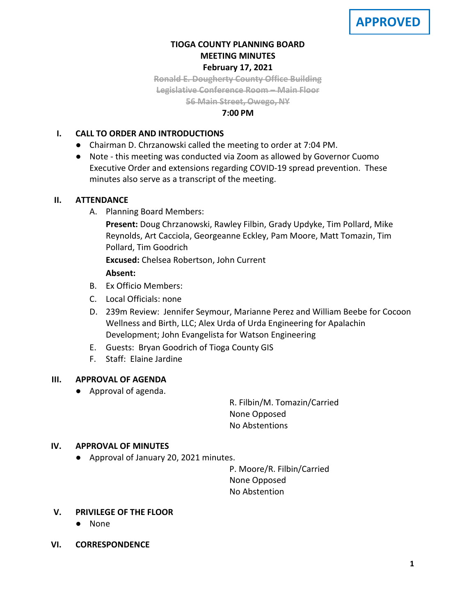

# **TIOGA COUNTY PLANNING BOARD MEETING MINUTES February 17, 2021**

**Ronald E. Dougherty County Office Building Legislative Conference Room – Main Floor 56 Main Street, Owego, NY**

### **7:00 PM**

## **I. CALL TO ORDER AND INTRODUCTIONS**

- Chairman D. Chrzanowski called the meeting to order at 7:04 PM.
- Note this meeting was conducted via Zoom as allowed by Governor Cuomo Executive Order and extensions regarding COVID-19 spread prevention. These minutes also serve as a transcript of the meeting.

### **II. ATTENDANCE**

A. Planning Board Members:

**Present:** Doug Chrzanowski, Rawley Filbin, Grady Updyke, Tim Pollard, Mike Reynolds, Art Cacciola, Georgeanne Eckley, Pam Moore, Matt Tomazin, Tim Pollard, Tim Goodrich

**Excused:** Chelsea Robertson, John Current

## **Absent:**

- B. Ex Officio Members:
- C. Local Officials: none
- D. 239m Review: Jennifer Seymour, Marianne Perez and William Beebe for Cocoon Wellness and Birth, LLC; Alex Urda of Urda Engineering for Apalachin Development; John Evangelista for Watson Engineering
- E. Guests: Bryan Goodrich of Tioga County GIS
- F. Staff: Elaine Jardine

# **III. APPROVAL OF AGENDA**

● Approval of agenda.

R. Filbin/M. Tomazin/Carried None Opposed No Abstentions

### **IV. APPROVAL OF MINUTES**

● Approval of January 20, 2021 minutes.

P. Moore/R. Filbin/Carried None Opposed No Abstention

- **V. PRIVILEGE OF THE FLOOR**
	- None
- **VI. CORRESPONDENCE**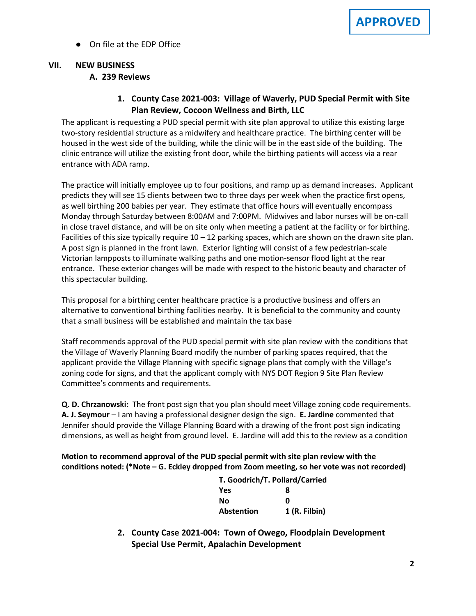● On file at the EDP Office

## **VII. NEW BUSINESS A. A. 239 Reviews**

# **1. County Case 2021-003: Village of Waverly, PUD Special Permit with Site Plan Review, Cocoon Wellness and Birth, LLC**

The applicant is requesting a PUD special permit with site plan approval to utilize this existing large two-story residential structure as a midwifery and healthcare practice. The birthing center will be housed in the west side of the building, while the clinic will be in the east side of the building. The clinic entrance will utilize the existing front door, while the birthing patients will access via a rear entrance with ADA ramp.

The practice will initially employee up to four positions, and ramp up as demand increases. Applicant predicts they will see 15 clients between two to three days per week when the practice first opens, as well birthing 200 babies per year. They estimate that office hours will eventually encompass Monday through Saturday between 8:00AM and 7:00PM. Midwives and labor nurses will be on-call in close travel distance, and will be on site only when meeting a patient at the facility or for birthing. Facilities of this size typically require  $10 - 12$  parking spaces, which are shown on the drawn site plan. A post sign is planned in the front lawn. Exterior lighting will consist of a few pedestrian-scale Victorian lampposts to illuminate walking paths and one motion-sensor flood light at the rear entrance. These exterior changes will be made with respect to the historic beauty and character of this spectacular building.

This proposal for a birthing center healthcare practice is a productive business and offers an alternative to conventional birthing facilities nearby. It is beneficial to the community and county that a small business will be established and maintain the tax base

Staff recommends approval of the PUD special permit with site plan review with the conditions that the Village of Waverly Planning Board modify the number of parking spaces required, that the applicant provide the Village Planning with specific signage plans that comply with the Village's zoning code for signs, and that the applicant comply with NYS DOT Region 9 Site Plan Review Committee's comments and requirements.

**Q. D. Chrzanowski:** The front post sign that you plan should meet Village zoning code requirements. **A. J. Seymour** – I am having a professional designer design the sign. **E. Jardine** commented that Jennifer should provide the Village Planning Board with a drawing of the front post sign indicating dimensions, as well as height from ground level. E. Jardine will add this to the review as a condition

**Motion to recommend approval of the PUD special permit with site plan review with the conditions noted: (\*Note – G. Eckley dropped from Zoom meeting, so her vote was not recorded)**

| T. Goodrich/T. Pollard/Carried |               |  |
|--------------------------------|---------------|--|
| Yes                            | 8             |  |
| Nο                             | ŋ             |  |
| <b>Abstention</b>              | 1 (R. Filbin) |  |

**2. County Case 2021-004: Town of Owego, Floodplain Development Special Use Permit, Apalachin Development**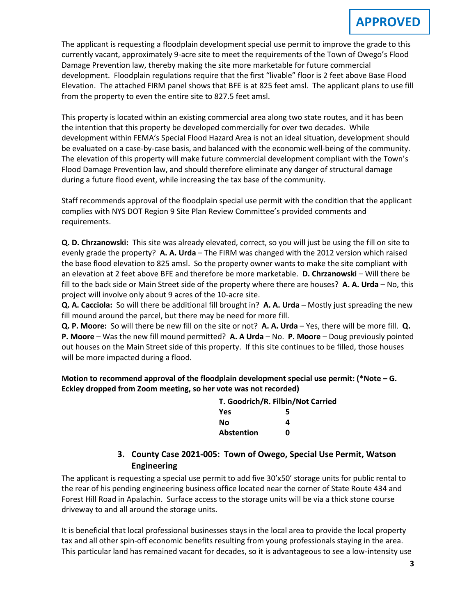The applicant is requesting a floodplain development special use permit to improve the grade to this currently vacant, approximately 9-acre site to meet the requirements of the Town of Owego's Flood Damage Prevention law, thereby making the site more marketable for future commercial development. Floodplain regulations require that the first "livable" floor is 2 feet above Base Flood Elevation. The attached FIRM panel shows that BFE is at 825 feet amsl. The applicant plans to use fill from the property to even the entire site to 827.5 feet amsl.

This property is located within an existing commercial area along two state routes, and it has been the intention that this property be developed commercially for over two decades. While development within FEMA's Special Flood Hazard Area is not an ideal situation, development should be evaluated on a case-by-case basis, and balanced with the economic well-being of the community. The elevation of this property will make future commercial development compliant with the Town's Flood Damage Prevention law, and should therefore eliminate any danger of structural damage during a future flood event, while increasing the tax base of the community.

Staff recommends approval of the floodplain special use permit with the condition that the applicant complies with NYS DOT Region 9 Site Plan Review Committee's provided comments and requirements.

**Q. D. Chrzanowski:** This site was already elevated, correct, so you will just be using the fill on site to evenly grade the property? **A. A. Urda** – The FIRM was changed with the 2012 version which raised the base flood elevation to 825 amsl. So the property owner wants to make the site compliant with an elevation at 2 feet above BFE and therefore be more marketable. **D. Chrzanowski** – Will there be fill to the back side or Main Street side of the property where there are houses? **A. A. Urda** – No, this project will involve only about 9 acres of the 10-acre site.

**Q. A. Cacciola:** So will there be additional fill brought in? **A. A. Urda** – Mostly just spreading the new fill mound around the parcel, but there may be need for more fill.

**Q. P. Moore:** So will there be new fill on the site or not? **A. A. Urda** – Yes, there will be more fill. **Q. P. Moore** – Was the new fill mound permitted? **A. A Urda** – No. **P. Moore** – Doug previously pointed out houses on the Main Street side of this property. If this site continues to be filled, those houses will be more impacted during a flood.

**Motion to recommend approval of the floodplain development special use permit: (\*Note – G. Eckley dropped from Zoom meeting, so her vote was not recorded)**

| T. Goodrich/R. Filbin/Not Carried |   |  |
|-----------------------------------|---|--|
| <b>Yes</b>                        | 5 |  |
| Nο                                | 4 |  |
| <b>Abstention</b>                 | n |  |

# **3. County Case 2021-005: Town of Owego, Special Use Permit, Watson Engineering**

The applicant is requesting a special use permit to add five 30'x50' storage units for public rental to the rear of his pending engineering business office located near the corner of State Route 434 and Forest Hill Road in Apalachin. Surface access to the storage units will be via a thick stone course driveway to and all around the storage units.

It is beneficial that local professional businesses stays in the local area to provide the local property tax and all other spin-off economic benefits resulting from young professionals staying in the area. This particular land has remained vacant for decades, so it is advantageous to see a low-intensity use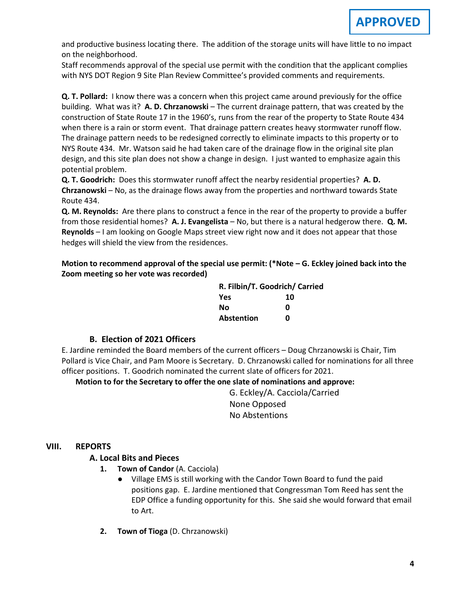and productive business locating there. The addition of the storage units will have little to no impact on the neighborhood.

Staff recommends approval of the special use permit with the condition that the applicant complies with NYS DOT Region 9 Site Plan Review Committee's provided comments and requirements.

**Q. T. Pollard:** I know there was a concern when this project came around previously for the office building. What was it? **A. D. Chrzanowski** – The current drainage pattern, that was created by the construction of State Route 17 in the 1960's, runs from the rear of the property to State Route 434 when there is a rain or storm event. That drainage pattern creates heavy stormwater runoff flow. The drainage pattern needs to be redesigned correctly to eliminate impacts to this property or to NYS Route 434. Mr. Watson said he had taken care of the drainage flow in the original site plan design, and this site plan does not show a change in design. I just wanted to emphasize again this potential problem.

**Q. T. Goodrich:** Does this stormwater runoff affect the nearby residential properties? **A. D. Chrzanowski** – No, as the drainage flows away from the properties and northward towards State Route 434.

**Q. M. Reynolds:** Are there plans to construct a fence in the rear of the property to provide a buffer from those residential homes? **A. J. Evangelista** – No, but there is a natural hedgerow there. **Q. M. Reynolds** – I am looking on Google Maps street view right now and it does not appear that those hedges will shield the view from the residences.

**Motion to recommend approval of the special use permit: (\*Note – G. Eckley joined back into the Zoom meeting so her vote was recorded)**

| R. Filbin/T. Goodrich/ Carried |    |  |
|--------------------------------|----|--|
| <b>Yes</b>                     | 10 |  |
| Nο                             | n  |  |
| Abstention                     | n  |  |

# **B. B. Election of 2021 Officers**

E. Jardine reminded the Board members of the current officers – Doug Chrzanowski is Chair, Tim Pollard is Vice Chair, and Pam Moore is Secretary. D. Chrzanowski called for nominations for all three officer positions. T. Goodrich nominated the current slate of officers for 2021.

**Motion to for the Secretary to offer the one slate of nominations and approve:**

G. Eckley/A. Cacciola/Carried None Opposed No Abstentions

### **VIII. REPORTS**

# **A. A. Local Bits and Pieces**

- **1. Town of Candor** (A. Cacciola)
	- Village EMS is still working with the Candor Town Board to fund the paid positions gap. E. Jardine mentioned that Congressman Tom Reed has sent the EDP Office a funding opportunity for this. She said she would forward that email to Art.
- **2. Town of Tioga** (D. Chrzanowski)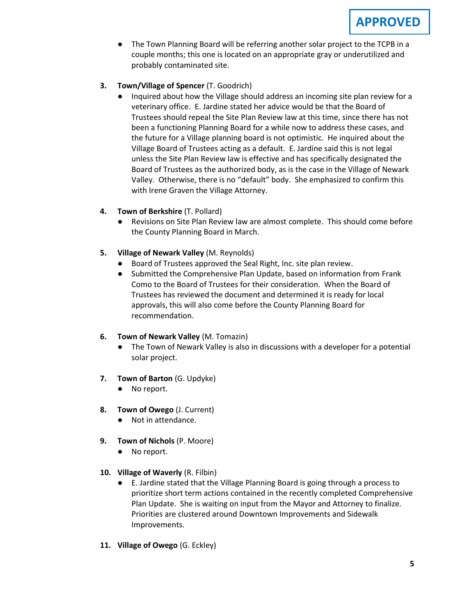- The Town Planning Board will be referring another solar project to the TCPB in a couple months; this one is located on an appropriate gray or underutilized and probably contaminated site.
- **3. Town/Village of Spencer** (T. Goodrich)
	- Inquired about how the Village should address an incoming site plan review for a veterinary office. E. Jardine stated her advice would be that the Board of Trustees should repeal the Site Plan Review law at this time, since there has not been a functioning Planning Board for a while now to address these cases, and the future for a Village planning board is not optimistic. He inquired about the Village Board of Trustees acting as a default. E. Jardine said this is not legal unless the Site Plan Review law is effective and has specifically designated the Board of Trustees as the authorized body, as is the case in the Village of Newark Valley. Otherwise, there is no "default" body. She emphasized to confirm this with Irene Graven the Village Attorney.
- **4. Town of Berkshire** (T. Pollard)
	- Revisions on Site Plan Review law are almost complete. This should come before the County Planning Board in March.
- **5. Village of Newark Valley** (M. Reynolds)
	- Board of Trustees approved the Seal Right, Inc. site plan review.
	- Submitted the Comprehensive Plan Update, based on information from Frank Como to the Board of Trustees for their consideration. When the Board of Trustees has reviewed the document and determined it is ready for local approvals, this will also come before the County Planning Board for recommendation.

# **6. Town of Newark Valley** (M. Tomazin)

- The Town of Newark Valley is also in discussions with a developer for a potential solar project.
- **7. Town of Barton** (G. Updyke)
	- No report.
- **8. Town of Owego** (J. Current)
	- Not in attendance.
- **9. Town of Nichols** (P. Moore)
	- No report.
- **10. Village of Waverly** (R. Filbin)
	- E. Jardine stated that the Village Planning Board is going through a process to prioritize short term actions contained in the recently completed Comprehensive Plan Update. She is waiting on input from the Mayor and Attorney to finalize. Priorities are clustered around Downtown Improvements and Sidewalk Improvements.
- **11. Village of Owego** (G. Eckley)